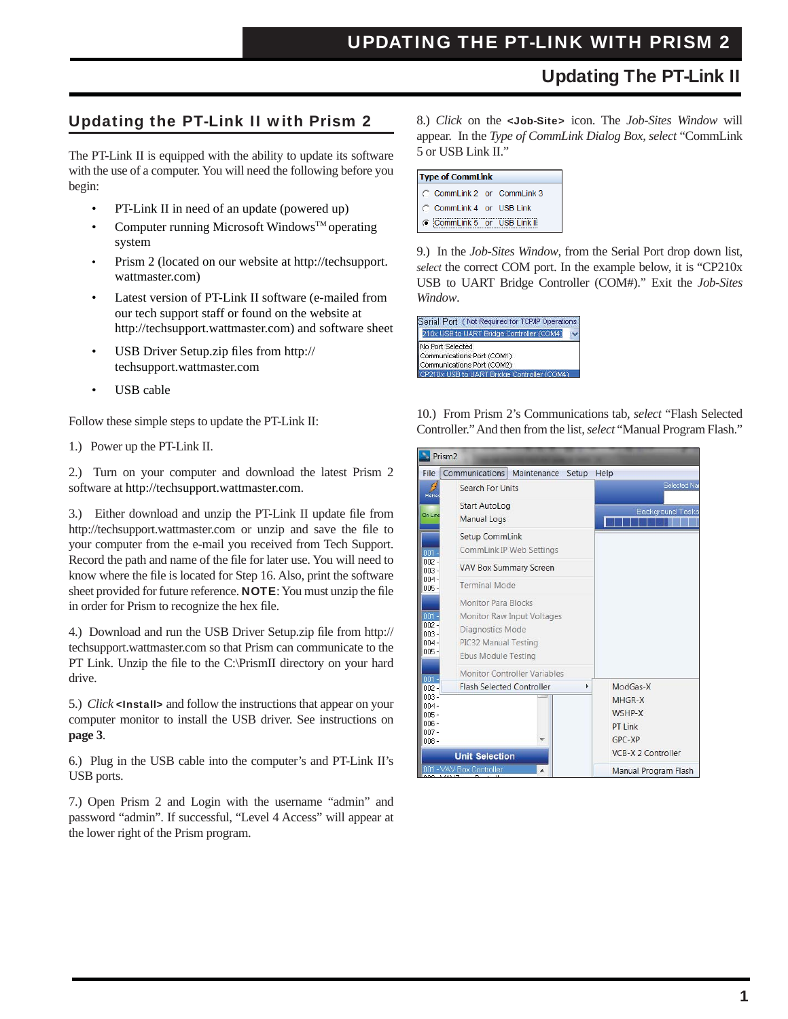# Updating The PT-Link II

### Updating the PT-Link II with Prism 2

The PT-Link II is equipped with the ability to update its software with the use of a computer. You will need the following before you begin:

- PT-Link II in need of an update (powered up)
- Computer running Microsoft Windows<sup>TM</sup> operating system
- Prism 2 (located on our website at http://techsupport. wattmaster.com)
- Latest version of PT-Link II software (e-mailed from our tech support staff or found on the website at http://techsupport.wattmaster.com) and software sheet
- USB Driver Setup.zip files from http:// techsupport.wattmaster.com
- USB cable

Follow these simple steps to update the PT-Link II:

1.) Power up the PT-Link II.

2.) Turn on your computer and download the latest Prism 2 software at http://techsupport.wattmaster.com.

3.) Either download and unzip the PT-Link II update file from http://techsupport.wattmaster.com or unzip and save the file to your computer from the e-mail you received from Tech Support. Record the path and name of the file for later use. You will need to know where the file is located for Step 16. Also, print the software sheet provided for future reference. **NOTE**: You must unzip the file in order for Prism to recognize the hex file.

4.) Download and run the USB Driver Setup.zip file from http:// techsupport.wattmaster.com so that Prism can communicate to the PT Link. Unzip the file to the C:\PrismII directory on your hard drive.

5.) *Click* <Install> and follow the instructions that appear on your computer monitor to install the USB driver. See instructions on **page 3**.

6.) Plug in the USB cable into the computer's and PT-Link II's USB ports.

7.) Open Prism 2 and Login with the username "admin" and password "admin". If successful, "Level 4 Access" will appear at the lower right of the Prism program.

8.) *Click* on the <Job-Site> icon. The *Job-Sites Window* will appear. In the *Type of CommLink Dialog Box*, *select* "CommLink 5 or USB Link II."

| <b>Type of CommLink</b>     |  |
|-----------------------------|--|
| C CommLink 2 or CommLink 3  |  |
| C CommLink 4 or USB Link    |  |
| C CommLink 5 or USB Link II |  |

9.) In the *Job-Sites Window*, from the Serial Port drop down list, *select* the correct COM port. In the example below, it is "CP210x USB to UART Bridge Controller (COM#)." Exit the *Job-Sites Window*.

| Serial Port (Not Required for TCP/IP Operations) |  |
|--------------------------------------------------|--|
| 210x USB to UART Bridge Controller (COM4)        |  |
| No Port Selected                                 |  |
| Communications Port (COM1)                       |  |
| Communications Port (COM2)                       |  |
| CP210x USB to UART Bridge Controller (COM4)      |  |

10.) From Prism 2's Communications tab, *select* "Flash Selected Controller." And then from the list, *select* "Manual Program Flash."

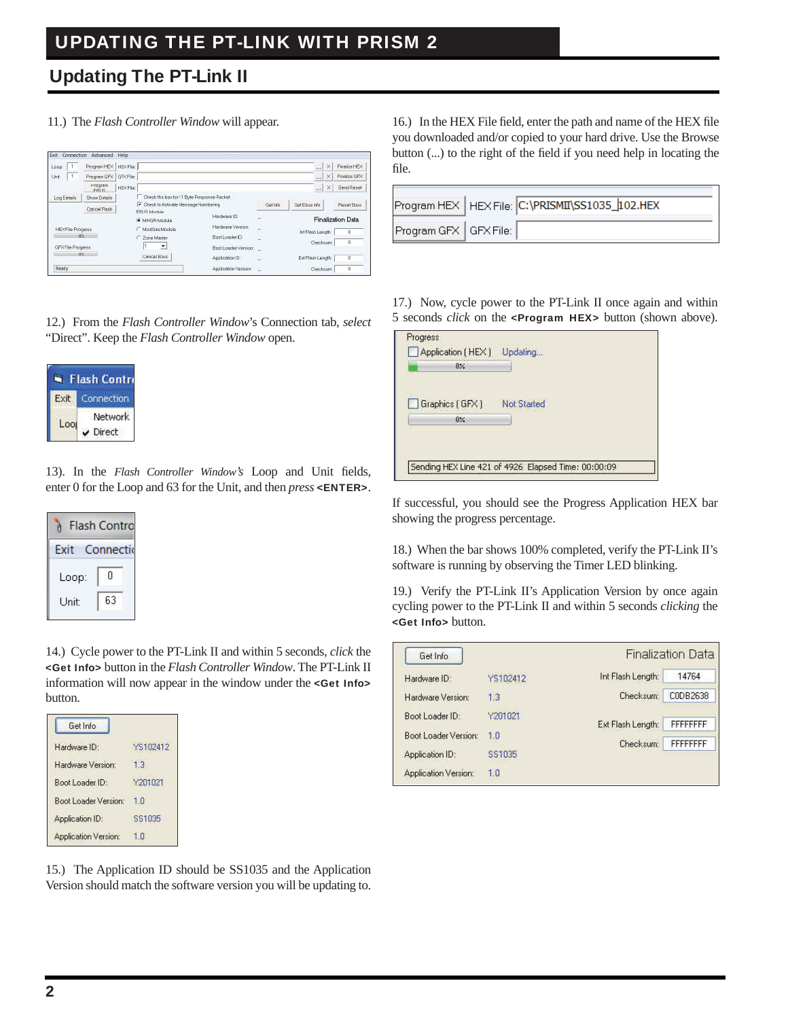# Updating The PT-Link II

11.) The *Flash Controller Window* will appear.

| T<br>Loop            | Program HEX                  | HEXFIa:        |                                                             |                      |                          |               | $^{\prime}$<br>$\pm 0.1$ | Finalge HEX              |
|----------------------|------------------------------|----------------|-------------------------------------------------------------|----------------------|--------------------------|---------------|--------------------------|--------------------------|
| $\mathbf{1}$<br>Unit | Program GFX                  | GFXFile:       |                                                             |                      |                          |               | $\times$<br>real.        | Finalize GFX             |
|                      | <b>Hoaram</b><br><b>FRUS</b> | <b>HEXFIEL</b> |                                                             |                      |                          |               | ×<br>$+ + + +$           | Send Reset               |
| Log Details          | Show Details                 |                | Check this box for 11 Byle Response Packet.                 |                      |                          |               |                          |                          |
|                      | Concel Flash                 |                | V Check to Activate Message Numbering<br><b>EBUS Module</b> |                      | Gottefa                  | Got Ebus Info |                          | <b>Roget Ebus</b>        |
|                      |                              |                | G MHGRModule                                                | Hardware (D.)        | $\overline{\phantom{a}}$ |               |                          | <b>Finalization Data</b> |
| HEXFile Progress     |                              |                | ModGes Modulo                                               | Herdware Version     | $\overline{\phantom{a}}$ |               | Int Flosh Longth         | $\mathbf{D}$             |
| O <sub>K</sub>       |                              |                | C Zone Master                                               | BootLoader D         |                          |               | Checksum:                | Ð                        |
| GPX File Progress    |                              |                | $\overline{\phantom{a}}$                                    | Boot Loader Version: |                          |               |                          |                          |
| <b>ON</b>            |                              |                | Cancel Ebus                                                 | Application ID:      |                          |               | Ext Flash Langth         | Ð                        |
| Ready                |                              |                |                                                             | Application Version: | e                        |               | Checksum:                | D                        |

12.) From the *Flash Controller Window*'s Connection tab, *select* "Direct". Keep the *Flash Controller Window* open.



13). In the *Flash Controller Window's* Loop and Unit fields, enter 0 for the Loop and 63 for the Unit, and then *press* <ENTER>.

|       | <b>Flash Contro</b> |
|-------|---------------------|
| Fxit  | Connectio           |
| Loop: | N                   |
| Unit: | 63                  |

14.) Cycle power to the PT-Link II and within 5 seconds, *click* the <Get Info> button in the *Flash Controller Window*. The PT-Link II information will now appear in the window under the <Get Info> button.

| Get Info                    |          |
|-----------------------------|----------|
| Hardware ID:                | YS102412 |
| Hardware Version:           | 1,3      |
| Boot Loader ID:             | Y201021  |
| Boot Loader Version:        | 10       |
| Application ID:             | \$\$1035 |
| <b>Application Version:</b> | 10       |

16.) In the HEX File field, enter the path and name of the HEX file you downloaded and/or copied to your hard drive. Use the Browse button (...) to the right of the field if you need help in locating the file.

|                         | Program HEX   HEX File: C:\PRISMII\SS1035_102.HEX |
|-------------------------|---------------------------------------------------|
| Program GFX   GFX File: |                                                   |

17.) Now, cycle power to the PT-Link II once again and within 5 seconds *click* on the <**Program HEX**> button (shown above).

| 8%             |             |
|----------------|-------------|
| Graphics [GFX] | Not Started |
| $0\%$          |             |

If successful, you should see the Progress Application HEX bar showing the progress percentage.

18.) When the bar shows 100% completed, verify the PT-Link II's software is running by observing the Timer LED blinking.

19.) Verify the PT-Link II's Application Version by once again cycling power to the PT-Link II and within 5 seconds *clicking* the <Get Info> button.

| Get Info             |          |                   | <b>Finalization Data</b> |
|----------------------|----------|-------------------|--------------------------|
| Hardware ID:         | YS102412 | Int Flash Length: | 14764                    |
| Hardware Version:    | 1.3      | Checksum:         | C0DB2638                 |
| Boot Loader ID:      | Y201021  | Ext Flash Length: | <b>FFFFFFFFF</b>         |
| Boot Loader Version: | 1.0      | Checksum:         | <b>FFFFFFFFF</b>         |
| Application ID:      | \$\$1035 |                   |                          |
| Application Version: | 1.0      |                   |                          |

15.) The Application ID should be SS1035 and the Application Version should match the software version you will be updating to.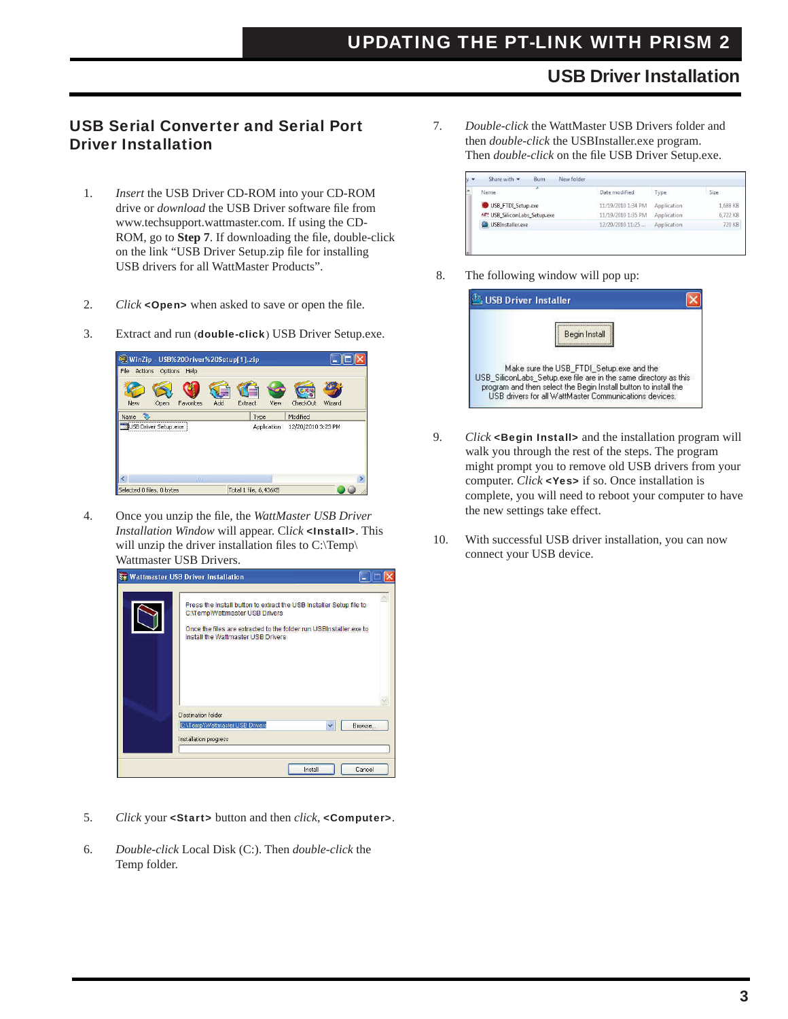### USB Driver Installation

#### USB Serial Converter and Serial Port Driver Installation

- 1. *Insert* the USB Driver CD-ROM into your CD-ROM drive or *download* the USB Driver software file from www.techsupport.wattmaster.com. If using the CD- ROM, go to **Step 7**. If downloading the file, double-click on the link "USB Driver Setup.zip file for installing USB drivers for all WattMaster Products".
- 2. *Click* <**Open>** when asked to save or open the file.
- 3. Extract and run (double-click) USB Driver Setup.exe.



4. Once you unzip the file, the *WattMaster USB Driver Installation Window* will appear. Cl*ick* <Install>. This will unzip the driver installation files to  $C:\Temp\$ Wattmaster USB Drivers.



- 5. *Click* your <Start> button and then *click*, <Computer>.
- 6. *Double-click* Local Disk (C:). Then *double-click* the Temp folder.

7. *Double-click* the WattMaster USB Drivers folder and then *double-click* the USBInstaller.exe program. Then *double-click* on the file USB Driver Setup.exe.

| ×<br>Name                     | Date modified      | Type        | Size     |
|-------------------------------|--------------------|-------------|----------|
| USB_FTDI_Setup.exe            | 11/19/2010 1:34 PM | Application | 1,688 KB |
| 457 USB_SiliconLabs_Setup.exe | 11/19/2010 1:35 PM | Application | 6,722 KB |
| USBInstaller.exe              | 12/20/2010 11:25   | Application | 720 KB   |

8. The following window will pop up:

| Begin Install                                                                                                                                                                                                                             |
|-------------------------------------------------------------------------------------------------------------------------------------------------------------------------------------------------------------------------------------------|
| Make sure the USB_FTDI_Setup.exe and the<br>USB SiliconLabs Setuplexe file are in the same directory as this<br>program and then select the Begin Install button to install the<br>USB drivers for all WattMaster Communications devices. |

- 9. *Click* <Begin Install> and the installation program will walk you through the rest of the steps. The program might prompt you to remove old USB drivers from your computer. *Click* <Yes> if so. Once installation is complete, you will need to reboot your computer to have the new settings take effect.
- 10. With successful USB driver installation, you can now connect your USB device.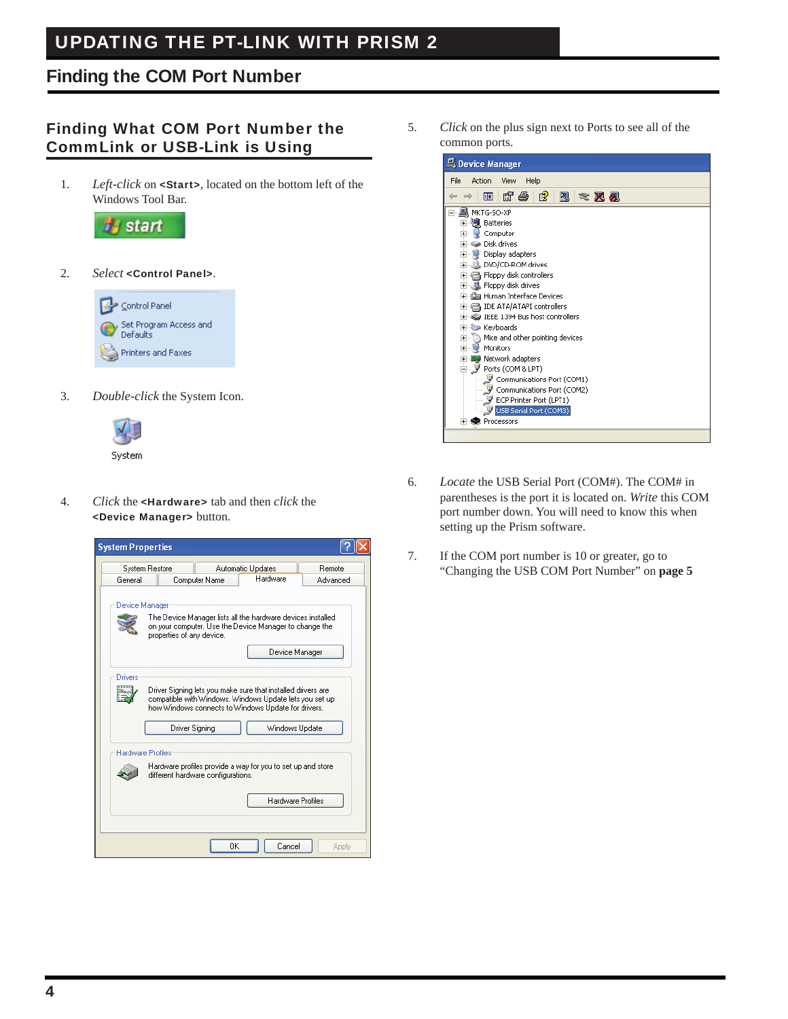# UPDATING THE PT-LINK WITH PRISM 2

## Finding the COM Port Number

### Finding What COM Port Number the CommLink or USB-Link is Using

1. *Left-click* on <Start>, located on the bottom left of the Windows Tool Bar.



2. *Select* <Control Panel>.



3. *Double-click* the System Icon.



4. *Click* the <Hardware> tab and then *click* the <Device Manager> button.



5. *Click* on the plus sign next to Ports to see all of the common ports.



- 6. *Locate* the USB Serial Port (COM#). The COM# in parentheses is the port it is located on. *Write* this COM port number down. You will need to know this when setting up the Prism software.
- 7. If the COM port number is 10 or greater, go to "Changing the USB COM Port Number" on **page 5**